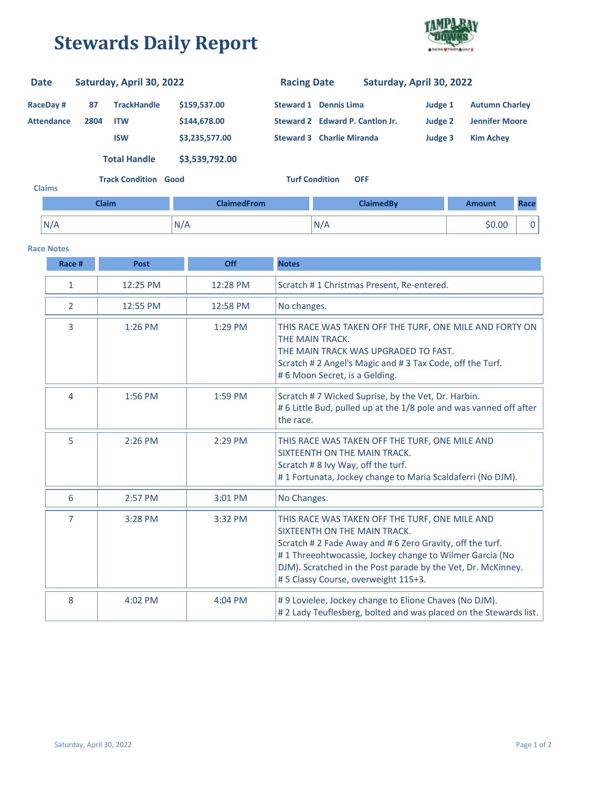## **Stewards Daily Report**



| <b>Date</b>                          |              | Saturday, April 30, 2022         |                              | <b>Racing Date</b> |                                                                 | Saturday, April 30, 2022 |                    |                                                |      |
|--------------------------------------|--------------|----------------------------------|------------------------------|--------------------|-----------------------------------------------------------------|--------------------------|--------------------|------------------------------------------------|------|
| <b>RaceDay#</b><br><b>Attendance</b> | 87<br>2804   | <b>TrackHandle</b><br><b>ITW</b> | \$159,537.00<br>\$144,678.00 |                    | <b>Steward 1 Dennis Lima</b><br>Steward 2 Edward P. Cantlon Jr. |                          | Judge 1            | <b>Autumn Charley</b><br><b>Jennifer Moore</b> |      |
|                                      |              | <b>ISW</b>                       | \$3,235,577.00               |                    | <b>Steward 3 Charlie Miranda</b>                                |                          | Judge 2<br>Judge 3 | <b>Kim Achey</b>                               |      |
|                                      |              | <b>Total Handle</b>              | \$3,539,792.00               |                    |                                                                 |                          |                    |                                                |      |
| <b>Claims</b>                        |              | <b>Track Condition Good</b>      |                              |                    | <b>Turf Condition</b>                                           | <b>OFF</b>               |                    |                                                |      |
|                                      | <b>Claim</b> |                                  | <b>ClaimedFrom</b>           |                    |                                                                 | <b>ClaimedBy</b>         |                    | Amount                                         | Race |
| N/A                                  |              |                                  | N/A                          |                    | N/A                                                             |                          |                    | \$0.00                                         | 0    |

## **Race Notes**

| Race #         | <b>Post</b> | <b>Off</b> | <b>Notes</b>                                                                                                                                                                                                                                                                                                |
|----------------|-------------|------------|-------------------------------------------------------------------------------------------------------------------------------------------------------------------------------------------------------------------------------------------------------------------------------------------------------------|
| $\mathbf{1}$   | 12:25 PM    | 12:28 PM   | Scratch #1 Christmas Present, Re-entered.                                                                                                                                                                                                                                                                   |
| 2              | 12:55 PM    | 12:58 PM   | No changes.                                                                                                                                                                                                                                                                                                 |
| 3              | 1:26 PM     | 1:29 PM    | THIS RACE WAS TAKEN OFF THE TURF, ONE MILE AND FORTY ON<br>THE MAIN TRACK.<br>THE MAIN TRACK WAS UPGRADED TO FAST.<br>Scratch #2 Angel's Magic and #3 Tax Code, off the Turf.<br>#6 Moon Secret, is a Gelding.                                                                                              |
| 4              | 1:56 PM     | 1:59 PM    | Scratch #7 Wicked Suprise, by the Vet, Dr. Harbin.<br>#6 Little Bud, pulled up at the 1/8 pole and was vanned off after<br>the race.                                                                                                                                                                        |
| 5              | 2:26 PM     | 2:29 PM    | THIS RACE WAS TAKEN OFF THE TURF, ONE MILE AND<br>SIXTEENTH ON THE MAIN TRACK.<br>Scratch #8 Ivy Way, off the turf.<br>#1 Fortunata, Jockey change to Maria Scaldaferri (No DJM).                                                                                                                           |
| 6              | 2:57 PM     | 3:01 PM    | No Changes.                                                                                                                                                                                                                                                                                                 |
| $\overline{7}$ | 3:28 PM     | 3:32 PM    | THIS RACE WAS TAKEN OFF THE TURF, ONE MILE AND<br>SIXTEENTH ON THE MAIN TRACK.<br>Scratch #2 Fade Away and #6 Zero Gravity, off the turf.<br>#1 Threeohtwocassie, Jockey change to Wilmer Garcia (No<br>DJM). Scratched in the Post parade by the Vet, Dr. McKinney.<br>#5 Classy Course, overweight 115+3. |
| 8              | 4:02 PM     | $4:04$ PM  | #9 Lovielee, Jockey change to Elione Chaves (No DJM).<br>#2 Lady Teuflesberg, bolted and was placed on the Stewards list.                                                                                                                                                                                   |